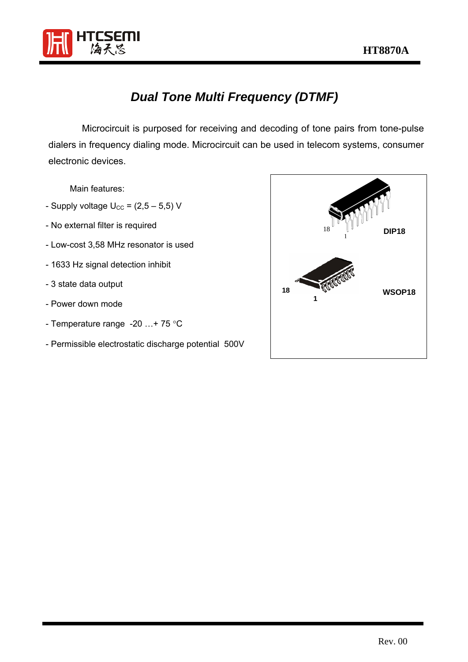



## *Dual Tone Multi Frequency (DTMF)*

Microcircuit is purposed for receiving and decoding of tone pairs from tone-pulse dialers in frequency dialing mode. Microcircuit can be used in telecom systems, consumer electronic devices.

Main features:

- Supply voltage  $U_{CC}$  = (2,5 5,5) V
- No external filter is required
- Low-cost 3,58 MHz resonator is used
- 1633 Hz signal detection inhibit
- 3 state data output
- Power down mode
- Temperature range -20 …+ 75 °C
- Permissible electrostatic discharge potential 500V

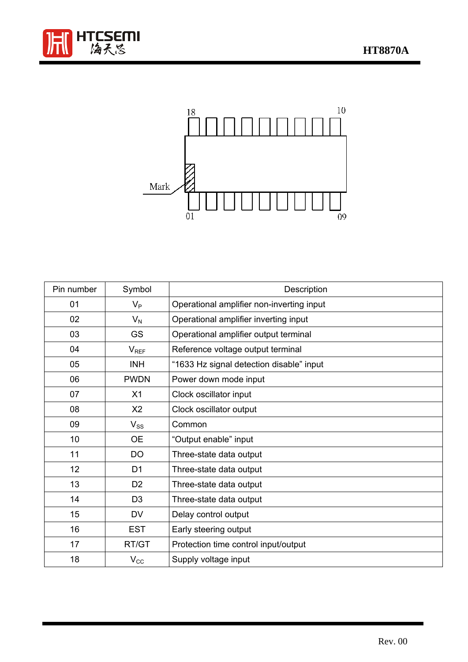



| Pin number | Symbol           | Description                               |
|------------|------------------|-------------------------------------------|
| 01         | $V_{\mathsf{P}}$ | Operational amplifier non-inverting input |
| 02         | $V_N$            | Operational amplifier inverting input     |
| 03         | <b>GS</b>        | Operational amplifier output terminal     |
| 04         | $V_{REF}$        | Reference voltage output terminal         |
| 05         | <b>INH</b>       | "1633 Hz signal detection disable" input  |
| 06         | <b>PWDN</b>      | Power down mode input                     |
| 07         | X1               | Clock oscillator input                    |
| 08         | X <sub>2</sub>   | Clock oscillator output                   |
| 09         | $V_{SS}$         | Common                                    |
| 10         | <b>OE</b>        | "Output enable" input                     |
| 11         | <b>DO</b>        | Three-state data output                   |
| 12         | D <sub>1</sub>   | Three-state data output                   |
| 13         | D <sub>2</sub>   | Three-state data output                   |
| 14         | D <sub>3</sub>   | Three-state data output                   |
| 15         | <b>DV</b>        | Delay control output                      |
| 16         | <b>EST</b>       | Early steering output                     |
| 17         | RT/GT            | Protection time control input/output      |
| 18         | $V_{\rm CC}$     | Supply voltage input                      |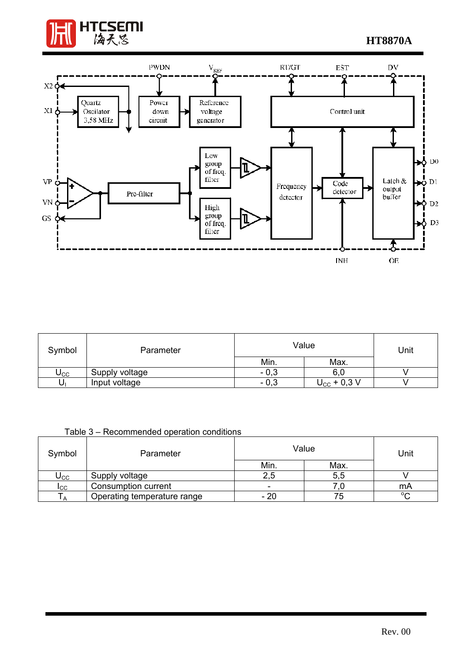

**HT8870A**



| Symbol           | Parameter      | Value         | Unit                    |  |
|------------------|----------------|---------------|-------------------------|--|
|                  |                | Min.          | Max.                    |  |
| $\sf U_{\rm CC}$ | Supply voltage | $-0,$ $\circ$ | 6.C                     |  |
| ◡                | Input voltage  | - 0,∪         | U <sub>CC</sub> + 0,3 V |  |

## Table 3 – Recommended operation conditions

| Symbol           | Parameter                   | Value | Unit |        |
|------------------|-----------------------------|-------|------|--------|
|                  |                             | Min.  | Max. |        |
| $\sf U_{\rm CC}$ | Supply voltage              |       | 5,5  |        |
| Icc              | Consumption current         |       |      | mA     |
| A                | Operating temperature range | - 20  | 75   | $\sim$ |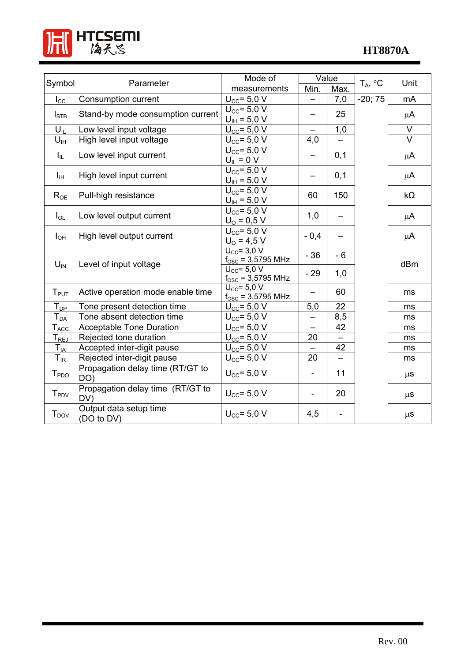

|  | <b>DELL</b> HTCSEMI<br>14天器 |
|--|-----------------------------|
|--|-----------------------------|

|                             |                                         | Mode of                                                          | Value                    |                          |                   |                   |
|-----------------------------|-----------------------------------------|------------------------------------------------------------------|--------------------------|--------------------------|-------------------|-------------------|
| Symbol                      | Parameter                               | measurements                                                     | Min.                     | Max.                     | $T_A$ , $\circ$ C | Unit              |
| $I_{\rm CC}$                | Consumption current                     | $U_{\text{CC}}$ = 5,0 V                                          | $\overline{\phantom{0}}$ | 7,0                      | $-20; 75$         | mA                |
| $I_{\text{STB}}$            | Stand-by mode consumption current       | $U_{CC} = 5.0 V$<br>$U_{\text{IH}} = 5.0 V$                      |                          | 25                       |                   | μA                |
| $U_{IL}$                    | Low level input voltage                 | $U_{CC} = 5,0 V$                                                 | $\qquad \qquad -$        | 1,0                      |                   | V                 |
| $U_{\text{IH}}$             | High level input voltage                | $U_{CC} = 5,0 V$                                                 | 4,0                      |                          |                   | $\overline{\vee}$ |
| $I_{\rm IL}$                | Low level input current                 | $U_{CC}$ = 5,0 V<br>$U_{IL} = 0 V$                               |                          | 0,1                      |                   | μA                |
| $I_{\text{IH}}$             | High level input current                | $U_{CC} = 5.0 V$<br>$U_{\text{IH}} = 5.0 V$                      |                          | 0,1                      |                   | $\mu$ A           |
| $R_{OE}$                    | Pull-high resistance                    | $U_{CC}$ = 5,0 V<br>$U_{\text{IH}} = 5.0 V$                      | 60                       | 150                      |                   | kΩ                |
| $I_{OL}$                    | Low level output current                | $U_{CC}$ = 5,0 V<br>$U_{\rm O} = 0.5 V$                          | 1,0                      |                          |                   | $\mu$ A           |
| $I_{OH}$                    | High level output current               | $U_{CC}$ = 5,0 V<br>$U_{\rm O}$ = 4,5 V                          | $-0,4$                   |                          |                   | μA                |
| $U_{IN}$                    | Level of input voltage                  | $U_{CC}$ = 3,0 V<br>$f_{\rm OSC}$ = 3,5795 MHz                   | $-36$                    | - 6                      |                   | dBm               |
|                             |                                         | $U_{CC}$ = 5,0 V<br>$f_{\rm OSC}$ = 3,5795 MHz                   | $-29$                    | 1,0                      |                   |                   |
| $T_{PUT}$                   | Active operation mode enable time       | $U_{\text{CC}}$ = 5,0 V<br>$f_{\text{OSC}} = 3,5795 \text{ MHz}$ |                          | 60                       |                   | ms                |
| $T_{DP}$                    | Tone present detection time             | $U_{\text{CC}}$ = 5,0 V                                          | 5,0                      | 22                       |                   | ms                |
| $T_{DA}$                    | Tone absent detection time              | $U_{\text{CC}}$ = 5,0 V                                          | $\overline{\phantom{0}}$ | 8,5                      |                   | ms                |
| T <sub>ACC</sub>            | <b>Acceptable Tone Duration</b>         | $U_{CC}$ = 5,0 V                                                 | $\qquad \qquad -$        | 42                       |                   | ms                |
| $\mathsf{T}_{\mathsf{REJ}}$ | Rejected tone duration                  | $\overline{U}_{\text{CC}}$ = 5,0 V                               | 20                       | $\overline{\phantom{0}}$ |                   | ms                |
| $T_{IA}$                    | Accepted inter-digit pause              | $U_{CC} = 5.0 V$                                                 |                          | 42                       |                   | ms                |
| $T_{IR}$                    | Rejected inter-digit pause              | $U_{CC}$ = 5,0 V                                                 | 20                       |                          |                   | ms                |
| <b>T</b> <sub>PDO</sub>     | Propagation delay time (RT/GT to<br>DO) | $U_{CC}$ = 5,0 V                                                 | $\blacksquare$           | 11                       |                   | $\mu$ S           |
| <b>T</b> <sub>PDV</sub>     | Propagation delay time (RT/GT to<br>DV) | $U_{CC}$ = 5,0 V                                                 | $\overline{\phantom{a}}$ | 20                       |                   | $\mu$ S           |
| $T_{DOV}$                   | Output data setup time<br>(DO to DV)    | $U_{CC}$ = 5.0 V                                                 | 4,5                      | ÷,                       |                   | $\mu$ S           |

۰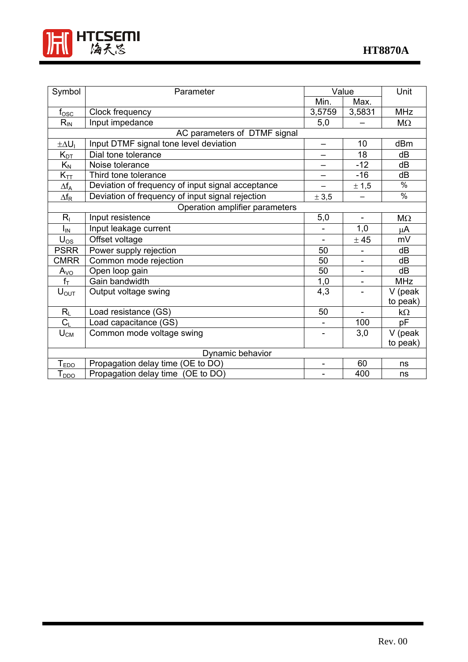



| Symbol                     | Parameter                                         |        | Value                    |               |  |  |
|----------------------------|---------------------------------------------------|--------|--------------------------|---------------|--|--|
|                            |                                                   | Min.   | Max.                     |               |  |  |
| $f_{\rm OSC}$              | Clock frequency                                   | 3,5759 | 3,5831                   | <b>MHz</b>    |  |  |
| $R_{IN}$                   | Input impedance                                   | 5,0    |                          | $M\Omega$     |  |  |
|                            | AC parameters of DTMF signal                      |        |                          |               |  |  |
| $\pm \Delta U_1$           | Input DTMF signal tone level deviation            | -      | 10                       | dBm           |  |  |
| $K_{DT}$                   | Dial tone tolerance                               | -      | 18                       | dB            |  |  |
| $K_N$                      | Noise tolerance                                   |        | $-12$                    | dB            |  |  |
| $\mathsf{K}_{\mathsf{TT}}$ | Third tone tolerance                              |        | $-16$                    | dB            |  |  |
| $\Delta f_A$               | Deviation of frequency of input signal acceptance |        | ± 1,5                    | $\frac{0}{0}$ |  |  |
| $\Delta f_R$               | Deviation of frequency of input signal rejection  | ± 3,5  |                          | $\frac{0}{0}$ |  |  |
|                            | Operation amplifier parameters                    |        |                          |               |  |  |
| $R_{\perp}$                | Input resistence                                  | 5,0    |                          | $M\Omega$     |  |  |
| $I_{IN}$                   | Input leakage current                             |        | 1,0                      | μA            |  |  |
| $U_{OS}$                   | Offset voltage                                    | ۰      | $\pm$ 45                 | mV            |  |  |
| <b>PSRR</b>                | Power supply rejection                            | 50     | $\overline{\phantom{0}}$ | dB            |  |  |
| <b>CMRR</b>                | Common mode rejection                             | 50     |                          | dB            |  |  |
| A <sub>VO</sub>            | Open loop gain                                    | 50     |                          | dB            |  |  |
| $f_T$                      | Gain bandwidth                                    | 1,0    |                          | <b>MHz</b>    |  |  |
| $U_{OUT}$                  | Output voltage swing                              | 4,3    |                          | V (peak       |  |  |
|                            |                                                   |        |                          | to peak)      |  |  |
| $R_L$                      | Load resistance (GS)                              | 50     |                          | $k\Omega$     |  |  |
| $C_{L}$                    | Load capacitance (GS)                             | ۰      | 100                      | рF            |  |  |
| $U_{CM}$                   | Common mode voltage swing                         |        | 3,0                      | V (peak       |  |  |
|                            |                                                   |        |                          | to peak)      |  |  |
| Dynamic behavior           |                                                   |        |                          |               |  |  |
| $T_{EDO}$                  | Propagation delay time (OE to DO)                 |        | 60                       | ns            |  |  |
| $T_{DDO}$                  | Propagation delay time (OE to DO)                 |        | 400                      | ns            |  |  |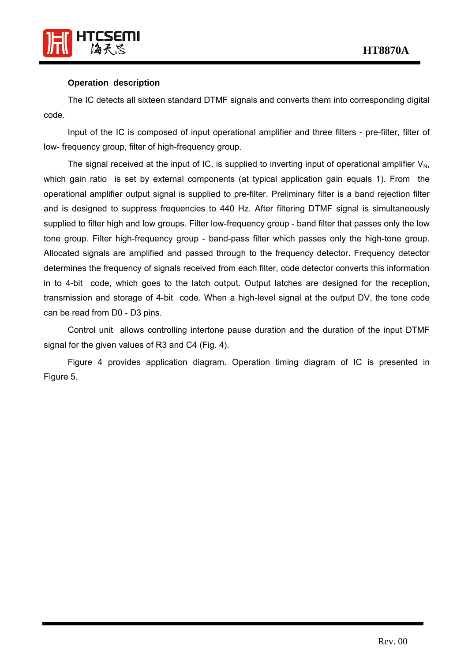

## **Operation description**

The IC detects all sixteen standard DTMF signals and converts them into corresponding digital code.

Input of the IC is composed of input operational amplifier and three filters - pre-filter, filter of low- frequency group, filter of high-frequency group.

The signal received at the input of IC, is supplied to inverting input of operational amplifier  $V_N$ , which gain ratio is set by external components (at typical application gain equals 1). From the operational amplifier output signal is supplied to pre-filter. Preliminary filter is a band rejection filter and is designed to suppress frequencies to 440 Hz. After filtering DTMF signal is simultaneously supplied to filter high and low groups. Filter low-frequency group - band filter that passes only the low tone group. Filter high-frequency group - band-pass filter which passes only the high-tone group. Allocated signals are amplified and passed through to the frequency detector. Frequency detector determines the frequency of signals received from each filter, code detector converts this information in to 4-bit code, which goes to the latch output. Output latches are designed for the reception, transmission and storage of 4-bit code. When a high-level signal at the output DV, the tone code can be read from D0 - D3 pins.

Control unit allows controlling intertone pause duration and the duration of the input DTMF signal for the given values of R3 and C4 (Fig. 4).

Figure 4 provides application diagram. Operation timing diagram of IC is presented in Figure 5.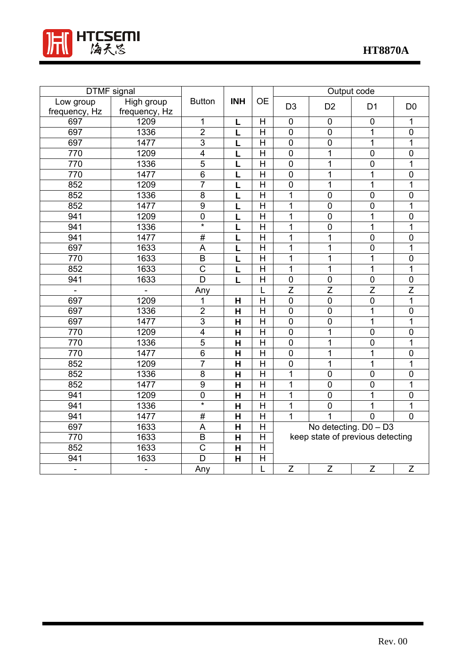

| <b>DTMF</b> signal       |                          |                |                         | Output code             |                                  |                |                |                |
|--------------------------|--------------------------|----------------|-------------------------|-------------------------|----------------------------------|----------------|----------------|----------------|
| Low group                | High group               | <b>Button</b>  | <b>INH</b>              | <b>OE</b>               | D <sub>3</sub>                   | D <sub>2</sub> | D <sub>1</sub> | D <sub>0</sub> |
| frequency, Hz            | frequency, Hz            |                |                         |                         |                                  |                |                |                |
| 697                      | 1209                     | 1              | L                       | H                       | 0                                | 0              | $\mathbf 0$    | 1              |
| 697                      | 1336                     | $\overline{2}$ | L                       | H                       | 0                                | $\mathbf 0$    | 1              | $\mathbf 0$    |
| 697                      | 1477                     | $\overline{3}$ | L                       | $\overline{H}$          | $\pmb{0}$                        | $\mathbf 0$    | 1              | 1              |
| 770                      | 1209                     | 4              | L                       | H                       | $\pmb{0}$                        | 1              | $\mathbf 0$    | $\overline{0}$ |
| 770                      | 1336                     | $\overline{5}$ | L                       | $\overline{H}$          | $\overline{0}$                   | 1              | 0              | $\overline{1}$ |
| 770                      | 1477                     | $\overline{6}$ | L                       | H                       | 0                                | 1              | 1              | $\overline{0}$ |
| 852                      | 1209                     | $\overline{7}$ | L                       | $\overline{H}$          | $\pmb{0}$                        | 1              | 1              | 1              |
| 852                      | 1336                     | 8              | L                       | H                       | 1                                | $\mathbf 0$    | $\mathbf 0$    | $\mathbf 0$    |
| 852                      | 1477                     | 9              | L                       | $\overline{H}$          | 1                                | $\mathbf 0$    | 0              | $\overline{1}$ |
| 941                      | 1209                     | 0              | L                       | H                       | 1                                | $\mathbf 0$    | 1              | $\mathbf 0$    |
| 941                      | 1336                     | $\star$        | L                       | $\overline{H}$          | 1                                | $\mathbf 0$    | 1              | 1              |
| 941                      | 1477                     | #              | L                       | H                       | 1                                | $\mathbf{1}$   | $\mathbf 0$    | $\mathbf 0$    |
| 697                      | 1633                     | A              | L                       | $\overline{\mathsf{H}}$ | $\mathbf 1$                      | $\mathbf 1$    | $\mathbf 0$    | 1              |
| 770                      | 1633                     | B              | L                       | $\mathsf{H}$            | 1                                | $\mathbf{1}$   | 1              | $\mathbf 0$    |
| 852                      | 1633                     | C              | L                       | $\overline{\mathsf{H}}$ | $\mathbf 1$                      | $\overline{1}$ | $\mathbf 1$    | 1              |
| 941                      | 1633                     | D              | L                       | H                       | $\mathbf 0$                      | $\overline{0}$ | $\mathbf 0$    | $\mathbf 0$    |
| $\sim$                   | $\overline{a}$           | Any            |                         | L                       | $\overline{Z}$                   | $\overline{Z}$ | $\overline{Z}$ | $\overline{Z}$ |
| 697                      | 1209                     | 1              | H                       | H                       | $\pmb{0}$                        | $\mathbf 0$    | $\mathbf 0$    | $\overline{1}$ |
| 697                      | 1336                     | $\overline{2}$ | $\overline{\mathsf{H}}$ | $\overline{H}$          | $\mathsf{O}\xspace$              | $\overline{0}$ | $\mathbf 1$    | $\overline{0}$ |
| 697                      | 1477                     | $\overline{3}$ | H                       | $\overline{H}$          | $\mathbf 0$                      | $\mathbf 0$    | 1              | 1              |
| 770                      | 1209                     | $\overline{4}$ | H                       | $\overline{\mathsf{H}}$ | $\overline{0}$                   | $\overline{1}$ | $\overline{0}$ | $\overline{0}$ |
| 770                      | 1336                     | 5              | H                       | H                       | $\overline{0}$                   | $\mathbf{1}$   | 0              | $\overline{1}$ |
| 770                      | 1477                     | $\overline{6}$ | H                       | $\overline{\mathsf{H}}$ | $\mathbf 0$                      | 1              | 1              | $\overline{0}$ |
| 852                      | 1209                     | $\overline{7}$ | $\overline{\mathsf{H}}$ | $\overline{\sf H}$      | $\overline{0}$                   | $\overline{1}$ | 1              | 1              |
| 852                      | 1336                     | 8              | H                       | $\overline{\mathsf{H}}$ | 1                                | $\mathbf 0$    | $\mathbf 0$    | $\mathbf 0$    |
| 852                      | 1477                     | 9              | H                       | $\overline{\mathsf{H}}$ | 1                                | $\overline{0}$ | $\mathbf 0$    | $\overline{1}$ |
| 941                      | 1209                     | 0              | $\overline{H}$          | $\overline{H}$          | 1                                | $\mathbf 0$    | 1              | $\overline{0}$ |
| 941                      | 1336                     | $\star$        | H                       | $\overline{\mathsf{H}}$ | $\overline{1}$                   | $\overline{0}$ | 1              | $\overline{1}$ |
| 941                      | 1477                     | #              | H                       | $\overline{H}$          | 1                                | 1              | $\overline{0}$ | $\overline{0}$ |
| 697                      | 1633                     | A              | $\overline{\mathsf{H}}$ | $\overline{H}$          | No detecting. $D0 - D3$          |                |                |                |
| 770                      | 1633                     | B              | H                       | H                       | keep state of previous detecting |                |                |                |
| 852                      | 1633                     | C              | $\overline{\mathsf{H}}$ | $\overline{H}$          |                                  |                |                |                |
| 941                      | 1633                     | D              | H                       | $\overline{H}$          |                                  |                |                |                |
| $\overline{\phantom{a}}$ | $\overline{\phantom{0}}$ | Any            |                         |                         | $\overline{Z}$                   | $\overline{Z}$ | $\overline{Z}$ | Z              |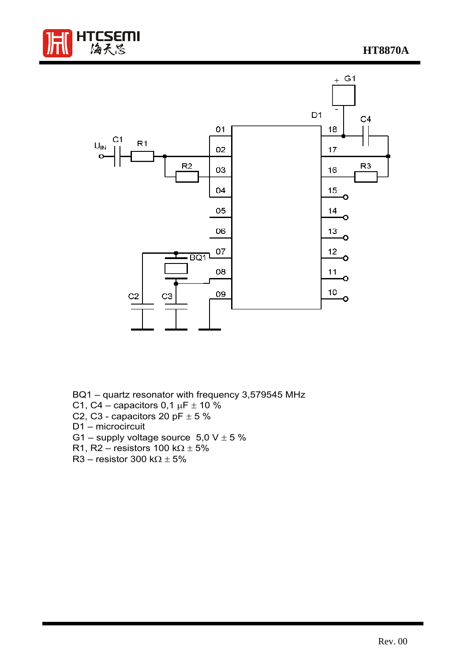



BQ1 – quartz resonator with frequency 3,579545 MHz C1, C4 – capacitors 0,1  $\mu$ F  $\pm$  10 % C2, C3 - capacitors 20 pF  $\pm$  5 % D1 – microcircuit G1 – supply voltage source  $5.0 V \pm 5 \%$ R1, R2 – resistors 100 k $\Omega \pm 5\%$ R3 – resistor 300 k $\Omega \pm 5\%$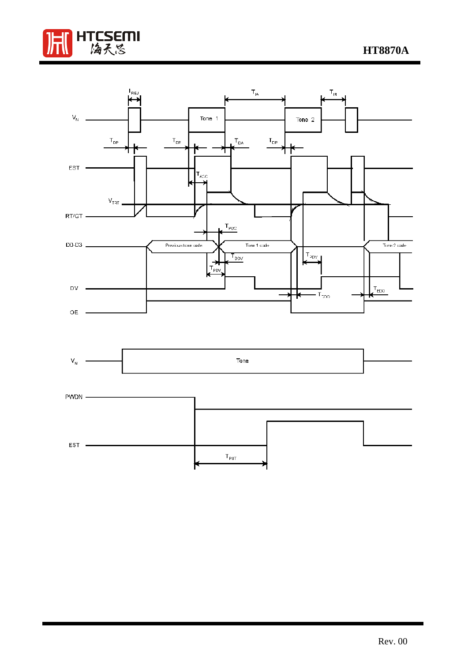

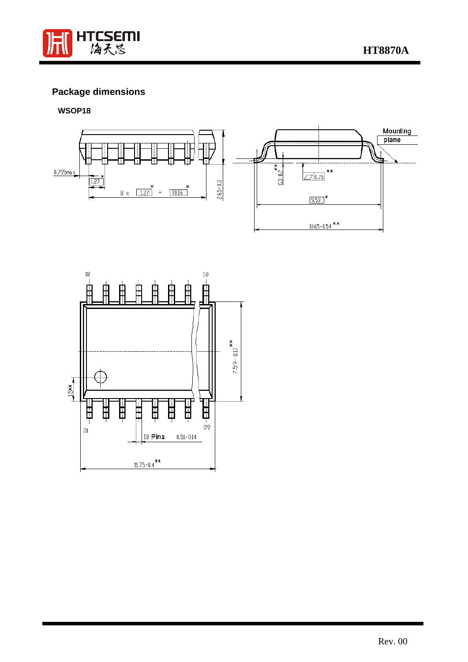

## **Package dimensions**

WSOP18